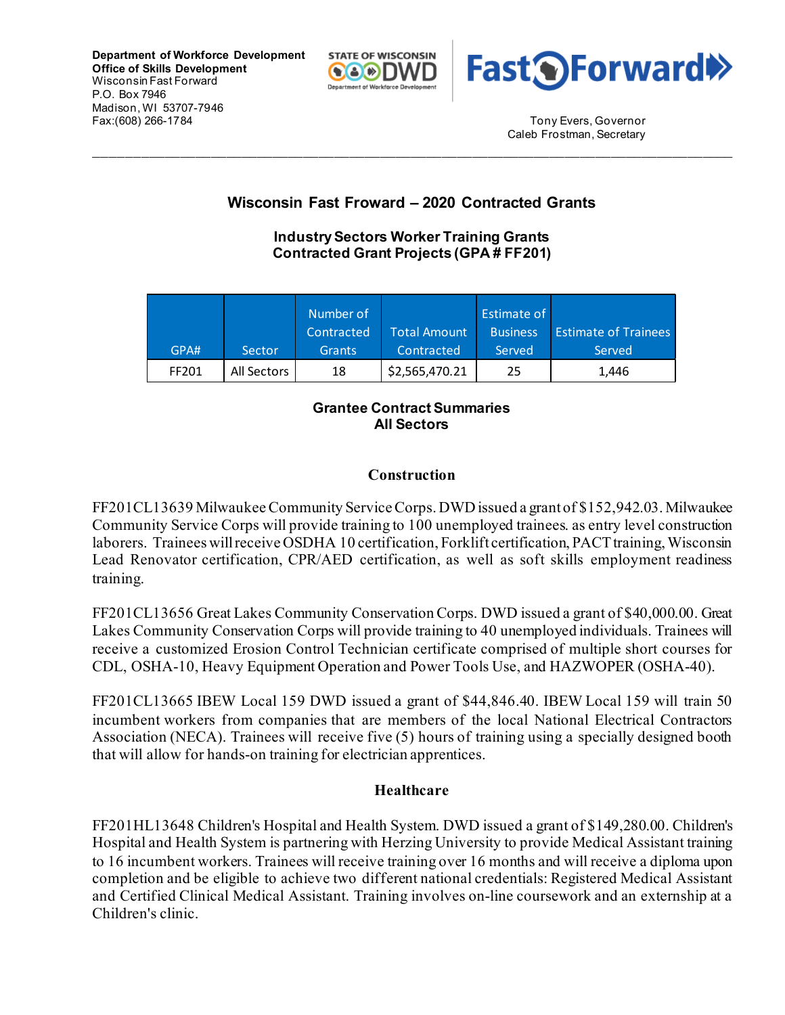**Department of Workforce Development Office of Skills Development** Wisconsin Fast Forward P.O. Box 7946 Madison, WI 53707-7946 Fax:(608) 266-1784 Tony Evers, Governor





Caleb Frostman, Secretary

# **Wisconsin Fast Froward – 2020 Contracted Grants**

\_\_\_\_\_\_\_\_\_\_\_\_\_\_\_\_\_\_\_\_\_\_\_\_\_\_\_\_\_\_\_\_\_\_\_\_\_\_\_\_\_\_\_\_\_\_\_\_\_\_\_\_\_\_\_\_\_\_\_\_\_\_\_\_\_\_\_\_\_\_\_\_\_\_\_\_\_\_\_\_\_\_\_

### **Industry Sectors Worker Training Grants Contracted Grant Projects (GPA # FF201)**

|       |             | Number of     |                     | Estimate of     |                             |
|-------|-------------|---------------|---------------------|-----------------|-----------------------------|
|       |             | Contracted    | <b>Total Amount</b> | <b>Business</b> | <b>Estimate of Trainees</b> |
| GPA#  | Sector      | <b>Grants</b> | Contracted          | Served          | Served                      |
| FF201 | All Sectors | 18            | \$2,565,470.21      | 25              | 1,446                       |

### **Grantee Contract Summaries All Sectors**

## **Construction**

FF201CL13639 Milwaukee Community Service Corps. DWD issued a grant of \$152,942.03. Milwaukee Community Service Corps will provide training to 100 unemployed trainees. as entry level construction laborers. Trainees will receive OSDHA 10 certification, Forklift certification, PACT training, Wisconsin Lead Renovator certification, CPR/AED certification, as well as soft skills employment readiness training.

FF201CL13656 Great Lakes Community Conservation Corps. DWD issued a grant of \$40,000.00. Great Lakes Community Conservation Corps will provide training to 40 unemployed individuals. Trainees will receive a customized Erosion Control Technician certificate comprised of multiple short courses for CDL, OSHA-10, Heavy Equipment Operation and Power Tools Use, and HAZWOPER (OSHA-40).

FF201CL13665 IBEW Local 159 DWD issued a grant of \$44,846.40. IBEW Local 159 will train 50 incumbent workers from companies that are members of the local National Electrical Contractors Association (NECA). Trainees will receive five (5) hours of training using a specially designed booth that will allow for hands-on training for electrician apprentices.

### **Healthcare**

FF201HL13648 Children's Hospital and Health System. DWD issued a grant of \$149,280.00. Children's Hospital and Health System is partnering with Herzing University to provide Medical Assistant training to 16 incumbent workers. Trainees will receive training over 16 months and will receive a diploma upon completion and be eligible to achieve two different national credentials: Registered Medical Assistant and Certified Clinical Medical Assistant. Training involves on-line coursework and an externship at a Children's clinic.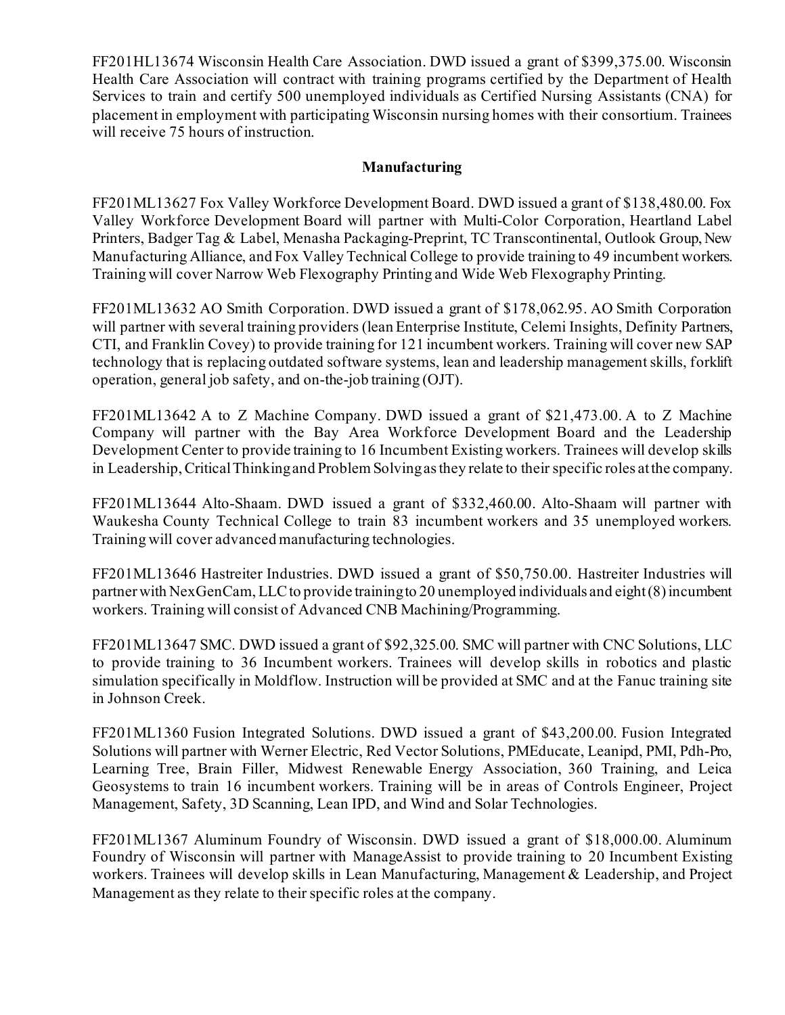FF201HL13674 Wisconsin Health Care Association. DWD issued a grant of \$399,375.00. Wisconsin Health Care Association will contract with training programs certified by the Department of Health Services to train and certify 500 unemployed individuals as Certified Nursing Assistants (CNA) for placement in employment with participating Wisconsin nursing homes with their consortium. Trainees will receive 75 hours of instruction.

### **Manufacturing**

FF201ML13627 Fox Valley Workforce Development Board. DWD issued a grant of \$138,480.00. Fox Valley Workforce Development Board will partner with Multi-Color Corporation, Heartland Label Printers, Badger Tag & Label, Menasha Packaging-Preprint, TC Transcontinental, Outlook Group, New Manufacturing Alliance, and Fox Valley Technical College to provide training to 49 incumbent workers. Training will cover Narrow Web Flexography Printing and Wide Web Flexography Printing.

FF201ML13632 AO Smith Corporation. DWD issued a grant of \$178,062.95. AO Smith Corporation will partner with several training providers (lean Enterprise Institute, Celemi Insights, Definity Partners, CTI, and Franklin Covey) to provide training for 121 incumbent workers. Training will cover new SAP technology that is replacing outdated software systems, lean and leadership management skills, forklift operation, general job safety, and on-the-job training (OJT).

FF201ML13642 A to Z Machine Company. DWD issued a grant of \$21,473.00. A to Z Machine Company will partner with the Bay Area Workforce Development Board and the Leadership Development Center to provide training to 16 Incumbent Existing workers. Trainees will develop skills in Leadership, Critical Thinking and Problem Solving as they relate to their specific roles at the company.

FF201ML13644 Alto-Shaam. DWD issued a grant of \$332,460.00. Alto-Shaam will partner with Waukesha County Technical College to train 83 incumbent workers and 35 unemployed workers. Training will cover advanced manufacturing technologies.

FF201ML13646 Hastreiter Industries. DWD issued a grant of \$50,750.00. Hastreiter Industries will partner with NexGenCam, LLC to provide training to 20 unemployed individuals and eight (8) incumbent workers. Training will consist of Advanced CNB Machining/Programming.

FF201ML13647 SMC. DWD issued a grant of \$92,325.00. SMC will partner with CNC Solutions, LLC to provide training to 36 Incumbent workers. Trainees will develop skills in robotics and plastic simulation specifically in Moldflow. Instruction will be provided at SMC and at the Fanuc training site in Johnson Creek.

FF201ML1360 Fusion Integrated Solutions. DWD issued a grant of \$43,200.00. Fusion Integrated Solutions will partner with Werner Electric, Red Vector Solutions, PMEducate, Leanipd, PMI, Pdh-Pro, Learning Tree, Brain Filler, Midwest Renewable Energy Association, 360 Training, and Leica Geosystems to train 16 incumbent workers. Training will be in areas of Controls Engineer, Project Management, Safety, 3D Scanning, Lean IPD, and Wind and Solar Technologies.

FF201ML1367 Aluminum Foundry of Wisconsin. DWD issued a grant of \$18,000.00. Aluminum Foundry of Wisconsin will partner with ManageAssist to provide training to 20 Incumbent Existing workers. Trainees will develop skills in Lean Manufacturing, Management & Leadership, and Project Management as they relate to their specific roles at the company.